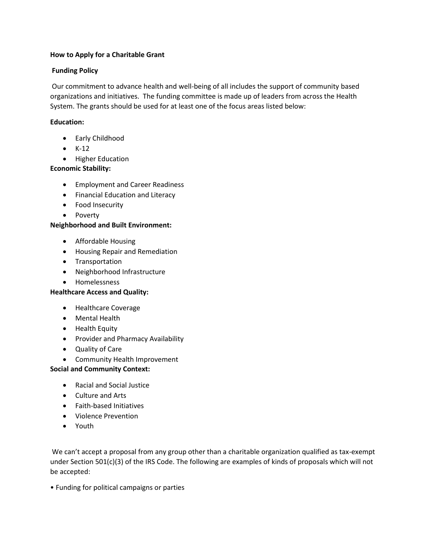### **How to Apply for a Charitable Grant**

## **Funding Policy**

Our commitment to advance health and well-being of all includes the support of community based organizations and initiatives. The funding committee is made up of leaders from across the Health System. The grants should be used for at least one of the focus areas listed below:

# **Education:**

- Early Childhood
- $\bullet$  K-12
- Higher Education

## **Economic Stability:**

- **•** Employment and Career Readiness
- Financial Education and Literacy
- Food Insecurity
- Poverty

## **Neighborhood and Built Environment:**

- Affordable Housing
- Housing Repair and Remediation
- **•** Transportation
- Neighborhood Infrastructure
- Homelessness

#### **Healthcare Access and Quality:**

- Healthcare Coverage
- Mental Health
- Health Equity
- Provider and Pharmacy Availability
- Quality of Care
- Community Health Improvement

#### **Social and Community Context:**

- Racial and Social Justice
- Culture and Arts
- Faith-based Initiatives
- Violence Prevention
- Youth

We can't accept a proposal from any group other than a charitable organization qualified as tax-exempt under Section 501(c)(3) of the IRS Code. The following are examples of kinds of proposals which will not be accepted:

• Funding for political campaigns or parties